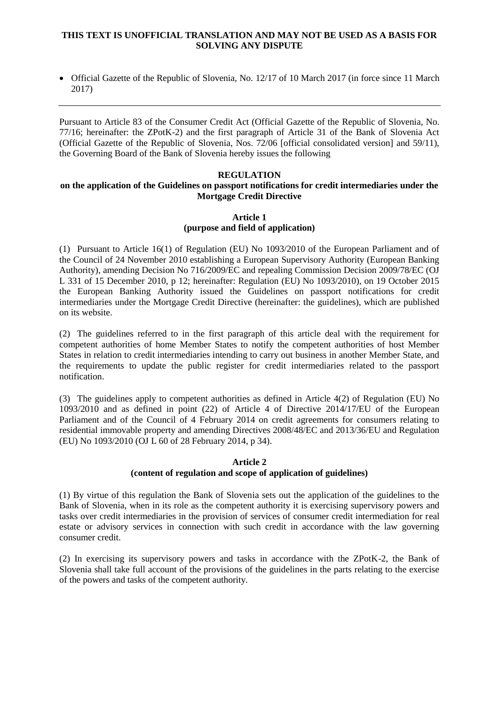### **THIS TEXT IS UNOFFICIAL TRANSLATION AND MAY NOT BE USED AS A BASIS FOR SOLVING ANY DISPUTE**

 Official Gazette of the Republic of Slovenia, No. 12/17 of 10 March 2017 (in force since 11 March 2017)

Pursuant to Article 83 of the Consumer Credit Act (Official Gazette of the Republic of Slovenia, No. 77/16; hereinafter: the ZPotK-2) and the first paragraph of Article 31 of the Bank of Slovenia Act (Official Gazette of the Republic of Slovenia, Nos. 72/06 [official consolidated version] and 59/11), the Governing Board of the Bank of Slovenia hereby issues the following

# **REGULATION**

### **on the application of the Guidelines on passport notifications for credit intermediaries under the Mortgage Credit Directive**

### **Article 1 (purpose and field of application)**

(1) Pursuant to Article 16(1) of Regulation (EU) No 1093/2010 of the European Parliament and of the Council of 24 November 2010 establishing a European Supervisory Authority (European Banking Authority), amending Decision No 716/2009/EC and repealing Commission Decision 2009/78/EC (OJ L 331 of 15 December 2010, p 12; hereinafter: Regulation (EU) No 1093/2010), on 19 October 2015 the European Banking Authority issued the Guidelines on passport notifications for credit intermediaries under the Mortgage Credit Directive (hereinafter: the guidelines), which are published on its website.

(2) The guidelines referred to in the first paragraph of this article deal with the requirement for competent authorities of home Member States to notify the competent authorities of host Member States in relation to credit intermediaries intending to carry out business in another Member State, and the requirements to update the public register for credit intermediaries related to the passport notification.

(3) The guidelines apply to competent authorities as defined in Article 4(2) of Regulation (EU) No 1093/2010 and as defined in point (22) of Article 4 of Directive 2014/17/EU of the European Parliament and of the Council of 4 February 2014 on credit agreements for consumers relating to residential immovable property and amending Directives 2008/48/EC and 2013/36/EU and Regulation (EU) No 1093/2010 (OJ L 60 of 28 February 2014, p 34).

## **Article 2 (content of regulation and scope of application of guidelines)**

(1) By virtue of this regulation the Bank of Slovenia sets out the application of the guidelines to the Bank of Slovenia, when in its role as the competent authority it is exercising supervisory powers and tasks over credit intermediaries in the provision of services of consumer credit intermediation for real estate or advisory services in connection with such credit in accordance with the law governing consumer credit.

(2) In exercising its supervisory powers and tasks in accordance with the ZPotK-2, the Bank of Slovenia shall take full account of the provisions of the guidelines in the parts relating to the exercise of the powers and tasks of the competent authority.